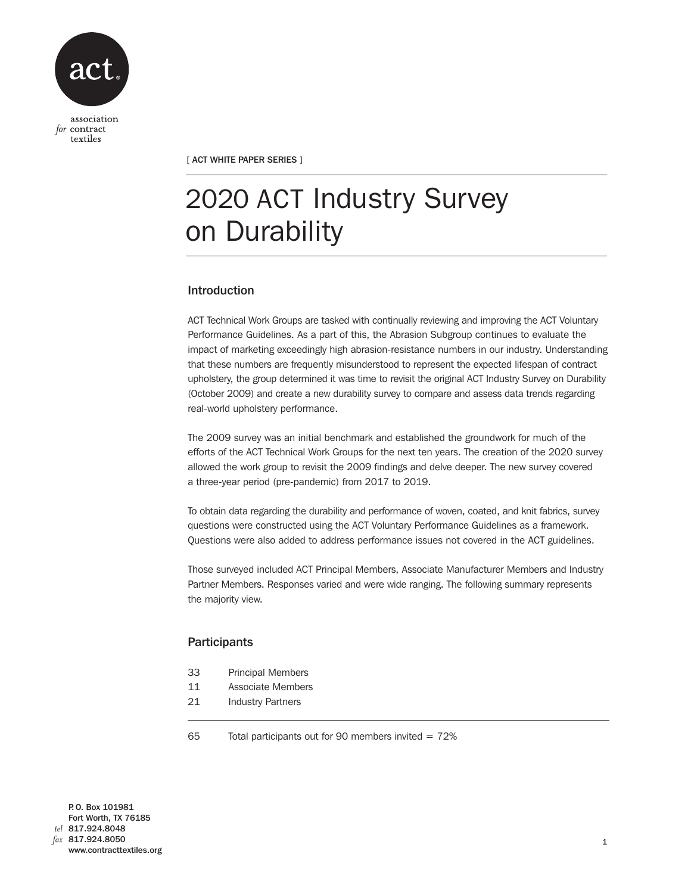

[ ACT WHITE PAPER SERIES ]

# 2020 ACT Industry Survey on Durability

## Introduction

ACT Technical Work Groups are tasked with continually reviewing and improving the ACT Voluntary Performance Guidelines. As a part of this, the Abrasion Subgroup continues to evaluate the impact of marketing exceedingly high abrasion-resistance numbers in our industry. Understanding that these numbers are frequently misunderstood to represent the expected lifespan of contract upholstery, the group determined it was time to revisit the original ACT Industry Survey on Durability (October 2009) and create a new durability survey to compare and assess data trends regarding real-world upholstery performance.

The 2009 survey was an initial benchmark and established the groundwork for much of the efforts of the ACT Technical Work Groups for the next ten years. The creation of the 2020 survey allowed the work group to revisit the 2009 findings and delve deeper. The new survey covered a three-year period (pre-pandemic) from 2017 to 2019.

To obtain data regarding the durability and performance of woven, coated, and knit fabrics, survey questions were constructed using the ACT Voluntary Performance Guidelines as a framework. Questions were also added to address performance issues not covered in the ACT guidelines.

Those surveyed included ACT Principal Members, Associate Manufacturer Members and Industry Partner Members. Responses varied and were wide ranging. The following summary represents the majority view.

## **Participants**

- 33 Principal Members
- 11 Associate Members
- 21 Industry Partners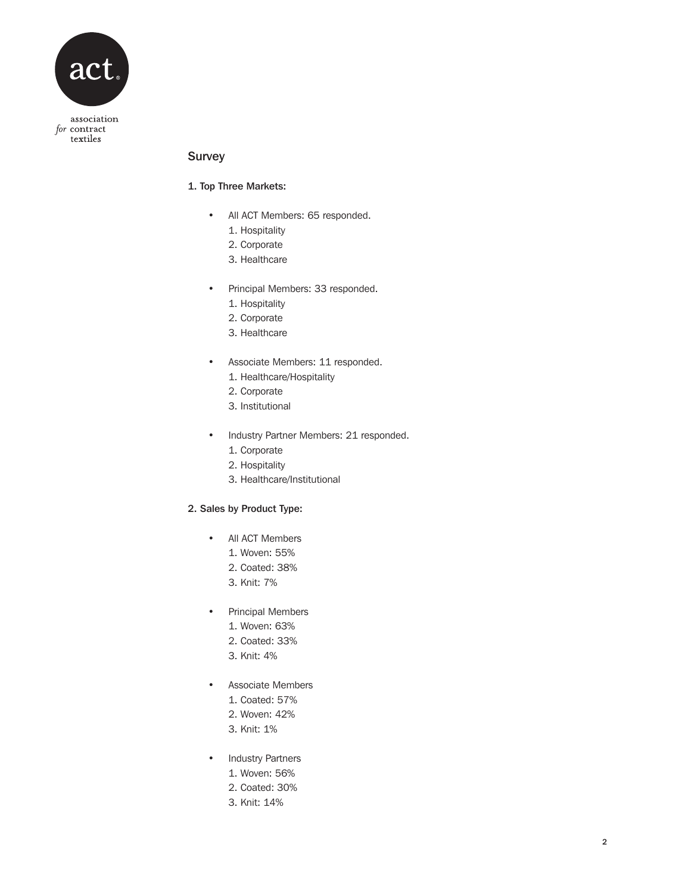

## Survey

## 1. Top Three Markets:

- All ACT Members: 65 responded.
	- 1. Hospitality
	- 2. Corporate
	- 3. Healthcare
- Principal Members: 33 responded.
	- 1. Hospitality
	- 2. Corporate
	- 3. Healthcare
- Associate Members: 11 responded.
	- 1. Healthcare/Hospitality
	- 2. Corporate
	- 3. Institutional
- Industry Partner Members: 21 responded.
	- 1. Corporate
	- 2. Hospitality
	- 3. Healthcare/Institutional

## 2. Sales by Product Type:

- All ACT Members
	- 1. Woven: 55%
	- 2. Coated: 38%
	- 3. Knit: 7%
- Principal Members
	- 1. Woven: 63%
	- 2. Coated: 33%
	- 3. Knit: 4%
- Associate Members
	- 1. Coated: 57%
	- 2. Woven: 42%
	- 3. Knit: 1%
- Industry Partners
	- 1. Woven: 56%
	- 2. Coated: 30%
	- 3. Knit: 14%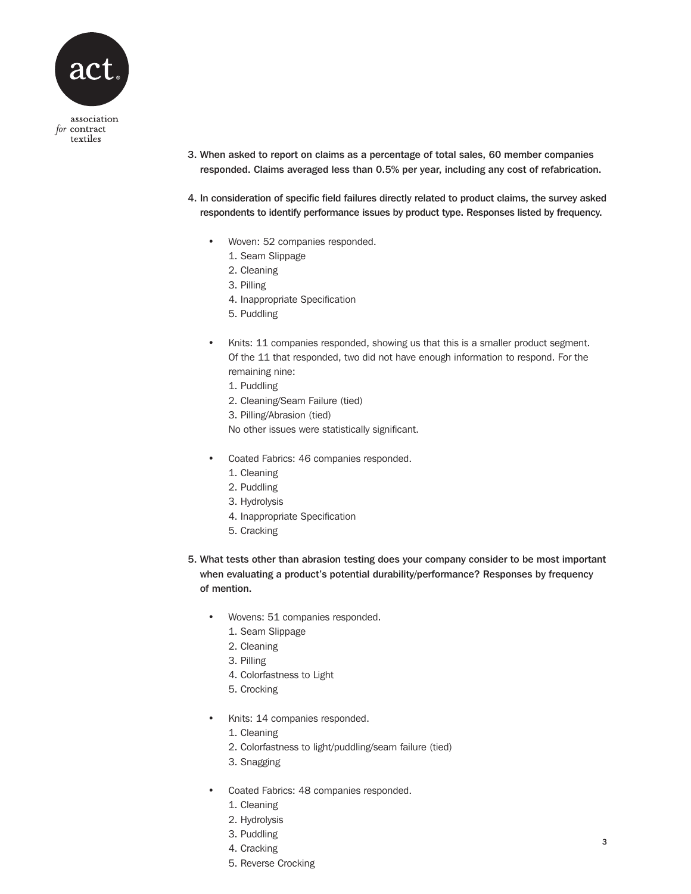

- 3. When asked to report on claims as a percentage of total sales, 60 member companies responded. Claims averaged less than 0.5% per year, including any cost of refabrication.
- 4. In consideration of specific field failures directly related to product claims, the survey asked respondents to identify performance issues by product type. Responses listed by frequency.
	- Woven: 52 companies responded.
		- 1. Seam Slippage
		- 2. Cleaning
		- 3. Pilling
		- 4. Inappropriate Specification
		- 5. Puddling
	- Knits: 11 companies responded, showing us that this is a smaller product segment. Of the 11 that responded, two did not have enough information to respond. For the remaining nine:
		- 1. Puddling
		- 2. Cleaning/Seam Failure (tied)
		- 3. Pilling/Abrasion (tied)

No other issues were statistically significant.

- Coated Fabrics: 46 companies responded.
	- 1. Cleaning
	- 2. Puddling
	- 3. Hydrolysis
	- 4. Inappropriate Specification
	- 5. Cracking
- 5. What tests other than abrasion testing does your company consider to be most important when evaluating a product's potential durability/performance? Responses by frequency of mention.
	- Wovens: 51 companies responded.
		- 1. Seam Slippage
		- 2. Cleaning
		- 3. Pilling
		- 4. Colorfastness to Light
		- 5. Crocking
	- Knits: 14 companies responded.
		- 1. Cleaning
		- 2. Colorfastness to light/puddling/seam failure (tied)
		- 3. Snagging
	- Coated Fabrics: 48 companies responded.
		- 1. Cleaning
		- 2. Hydrolysis
		- 3. Puddling
		- 4. Cracking
		- 5. Reverse Crocking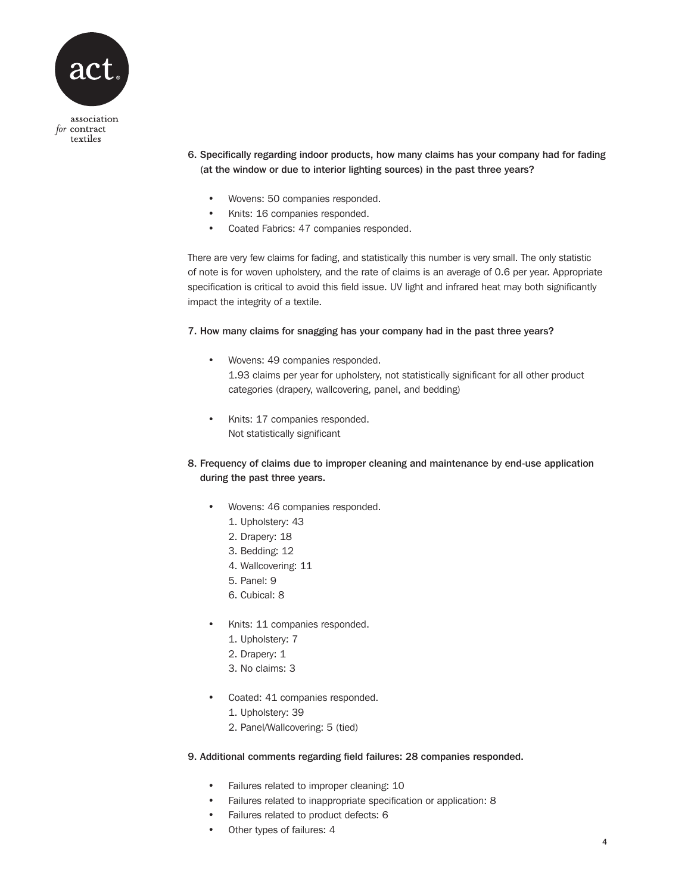

- 6. Specifically regarding indoor products, how many claims has your company had for fading (at the window or due to interior lighting sources) in the past three years?
	- Wovens: 50 companies responded.
	- Knits: 16 companies responded.
	- Coated Fabrics: 47 companies responded.

There are very few claims for fading, and statistically this number is very small. The only statistic of note is for woven upholstery, and the rate of claims is an average of 0.6 per year. Appropriate specification is critical to avoid this field issue. UV light and infrared heat may both significantly impact the integrity of a textile.

## 7. How many claims for snagging has your company had in the past three years?

- Wovens: 49 companies responded. 1.93 claims per year for upholstery, not statistically significant for all other product categories (drapery, wallcovering, panel, and bedding)
- Knits: 17 companies responded. Not statistically significant
- 8. Frequency of claims due to improper cleaning and maintenance by end-use application during the past three years.
	- Wovens: 46 companies responded.
		- 1. Upholstery: 43
		- 2. Drapery: 18
		- 3. Bedding: 12
		- 4. Wallcovering: 11
		- 5. Panel: 9
		- 6. Cubical: 8
	- Knits: 11 companies responded.
		- 1. Upholstery: 7
		- 2. Drapery: 1
		- 3. No claims: 3
	- Coated: 41 companies responded.
		- 1. Upholstery: 39
		- 2. Panel/Wallcovering: 5 (tied)

## 9. Additional comments regarding field failures: 28 companies responded.

- Failures related to improper cleaning: 10
- Failures related to inappropriate specification or application: 8
- Failures related to product defects: 6
- Other types of failures: 4